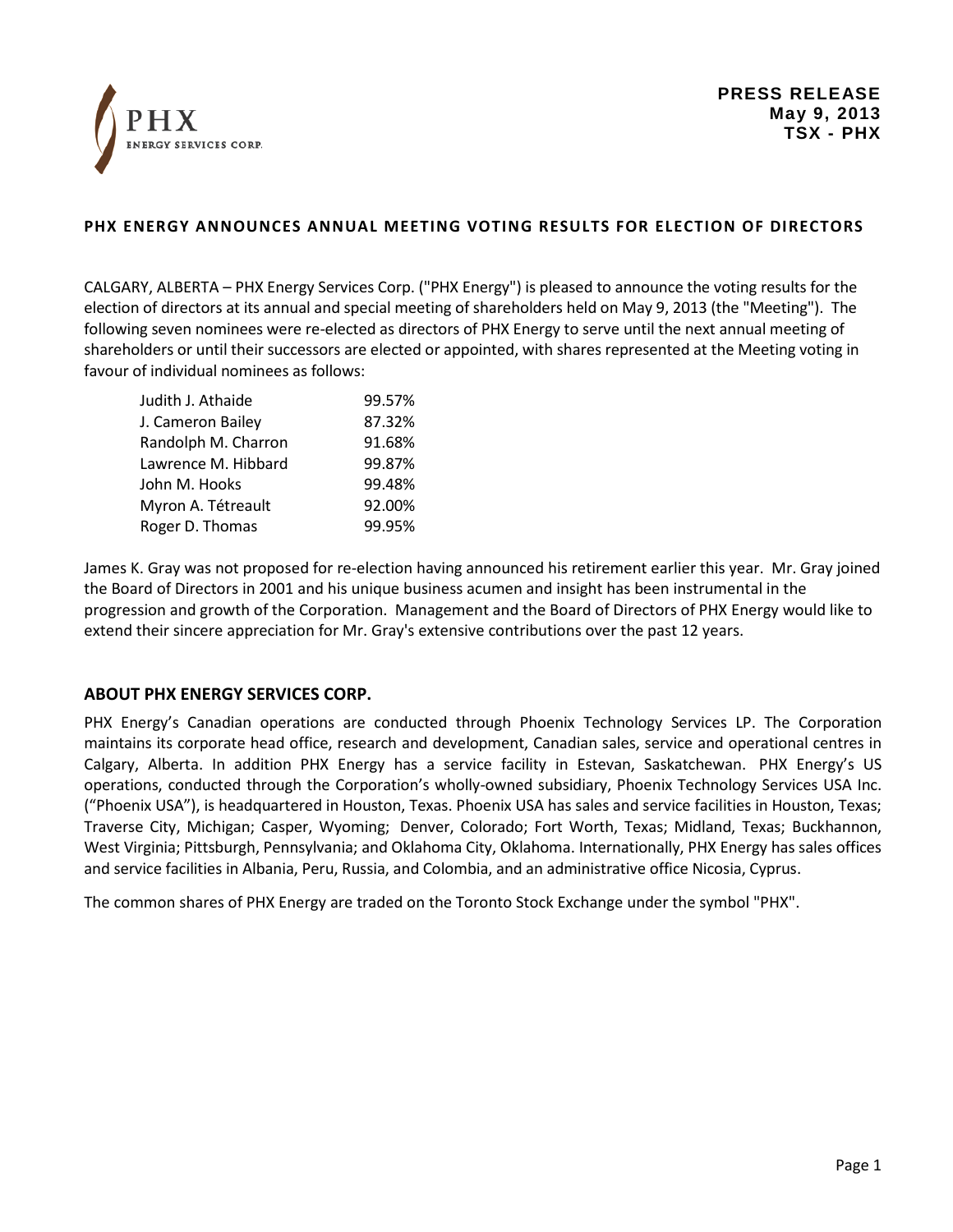

## **PHX ENERGY ANNOUNCES ANNUAL MEETING VOTING RESULTS FOR ELECTION OF DIRECTORS**

CALGARY, ALBERTA – PHX Energy Services Corp. ("PHX Energy") is pleased to announce the voting results for the election of directors at its annual and special meeting of shareholders held on May 9, 2013 (the "Meeting"). The following seven nominees were re-elected as directors of PHX Energy to serve until the next annual meeting of shareholders or until their successors are elected or appointed, with shares represented at the Meeting voting in favour of individual nominees as follows:

| Judith J. Athaide   | 99.57% |
|---------------------|--------|
| J. Cameron Bailey   | 87.32% |
| Randolph M. Charron | 91.68% |
| Lawrence M. Hibbard | 99.87% |
| John M. Hooks       | 99.48% |
| Myron A. Tétreault  | 92.00% |
| Roger D. Thomas     | 99.95% |

James K. Gray was not proposed for re-election having announced his retirement earlier this year. Mr. Gray joined the Board of Directors in 2001 and his unique business acumen and insight has been instrumental in the progression and growth of the Corporation. Management and the Board of Directors of PHX Energy would like to extend their sincere appreciation for Mr. Gray's extensive contributions over the past 12 years.

## **ABOUT PHX ENERGY SERVICES CORP.**

PHX Energy's Canadian operations are conducted through Phoenix Technology Services LP. The Corporation maintains its corporate head office, research and development, Canadian sales, service and operational centres in Calgary, Alberta. In addition PHX Energy has a service facility in Estevan, Saskatchewan. PHX Energy's US operations, conducted through the Corporation's wholly-owned subsidiary, Phoenix Technology Services USA Inc. ("Phoenix USA"), is headquartered in Houston, Texas. Phoenix USA has sales and service facilities in Houston, Texas; Traverse City, Michigan; Casper, Wyoming; Denver, Colorado; Fort Worth, Texas; Midland, Texas; Buckhannon, West Virginia; Pittsburgh, Pennsylvania; and Oklahoma City, Oklahoma. Internationally, PHX Energy has sales offices and service facilities in Albania, Peru, Russia, and Colombia, and an administrative office Nicosia, Cyprus.

The common shares of PHX Energy are traded on the Toronto Stock Exchange under the symbol "PHX".